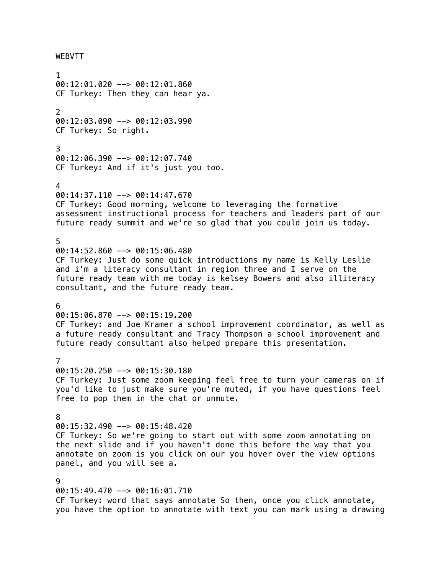WEBVTT

1 00:12:01.020 --> 00:12:01.860 CF Turkey: Then they can hear ya. 2  $00:12:03.090$  -->  $00:12:03.990$ CF Turkey: So right. 3 00:12:06.390 --> 00:12:07.740 CF Turkey: And if it's just you too. 4 00:14:37.110 --> 00:14:47.670 CF Turkey: Good morning, welcome to leveraging the formative assessment instructional process for teachers and leaders part of our future ready summit and we're so glad that you could join us today. 5 00:14:52.860 --> 00:15:06.480 CF Turkey: Just do some quick introductions my name is Kelly Leslie and i'm a literacy consultant in region three and I serve on the future ready team with me today is kelsey Bowers and also illiteracy consultant, and the future ready team. 6 00:15:06.870 --> 00:15:19.200 CF Turkey: and Joe Kramer a school improvement coordinator, as well as a future ready consultant and Tracy Thompson a school improvement and future ready consultant also helped prepare this presentation. 7 00:15:20.250 --> 00:15:30.180 CF Turkey: Just some zoom keeping feel free to turn your cameras on if you'd like to just make sure you're muted, if you have questions feel free to pop them in the chat or unmute. 8 00:15:32.490 --> 00:15:48.420 CF Turkey: So we're going to start out with some zoom annotating on the next slide and if you haven't done this before the way that you annotate on zoom is you click on our you hover over the view options panel, and you will see a. 9 00:15:49.470 --> 00:16:01.710 CF Turkey: word that says annotate So then, once you click annotate, you have the option to annotate with text you can mark using a drawing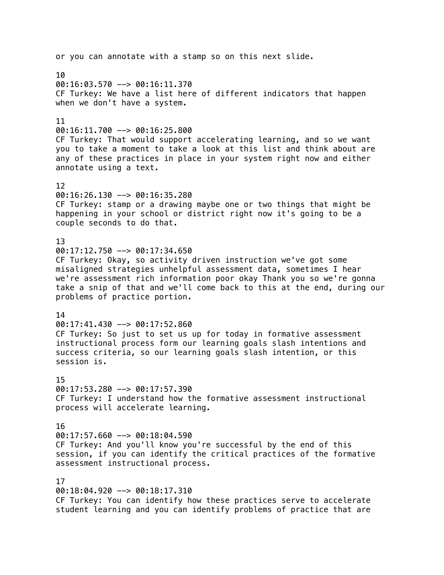or you can annotate with a stamp so on this next slide. 10 00:16:03.570 --> 00:16:11.370 CF Turkey: We have a list here of different indicators that happen when we don't have a system. 11  $00:16:11.700$  -->  $00:16:25.800$ CF Turkey: That would support accelerating learning, and so we want you to take a moment to take a look at this list and think about are any of these practices in place in your system right now and either annotate using a text. 12 00:16:26.130 --> 00:16:35.280 CF Turkey: stamp or a drawing maybe one or two things that might be happening in your school or district right now it's going to be a couple seconds to do that. 13  $00:17:12.750$  -->  $00:17:34.650$ CF Turkey: Okay, so activity driven instruction we've got some misaligned strategies unhelpful assessment data, sometimes I hear we're assessment rich information poor okay Thank you so we're gonna take a snip of that and we'll come back to this at the end, during our problems of practice portion. 14  $00:17:41.430$  -->  $00:17:52.860$ CF Turkey: So just to set us up for today in formative assessment instructional process form our learning goals slash intentions and success criteria, so our learning goals slash intention, or this session is. 15  $00:17:53.280$  -->  $00:17:57.390$ CF Turkey: I understand how the formative assessment instructional process will accelerate learning. 16  $00:17:57.660$  -->  $00:18:04.590$ CF Turkey: And you'll know you're successful by the end of this session, if you can identify the critical practices of the formative assessment instructional process. 17 00:18:04.920 --> 00:18:17.310 CF Turkey: You can identify how these practices serve to accelerate student learning and you can identify problems of practice that are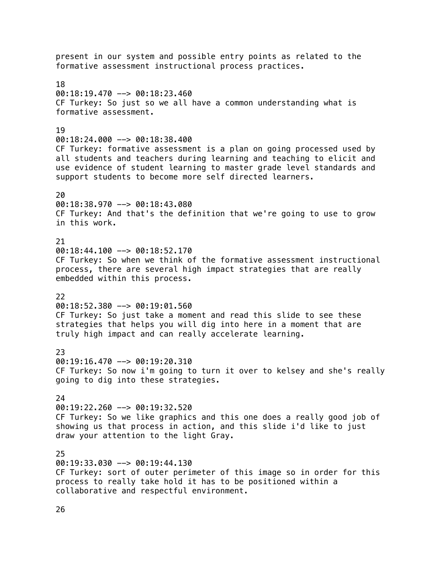present in our system and possible entry points as related to the formative assessment instructional process practices. 18  $00:18:19.470$  -->  $00:18:23.460$ CF Turkey: So just so we all have a common understanding what is formative assessment. 19 00:18:24.000 --> 00:18:38.400 CF Turkey: formative assessment is a plan on going processed used by all students and teachers during learning and teaching to elicit and use evidence of student learning to master grade level standards and support students to become more self directed learners. 20 00:18:38.970 --> 00:18:43.080 CF Turkey: And that's the definition that we're going to use to grow in this work. 21  $00:18:44.100$  -->  $00:18:52.170$ CF Turkey: So when we think of the formative assessment instructional process, there are several high impact strategies that are really embedded within this process. 22 00:18:52.380 --> 00:19:01.560 CF Turkey: So just take a moment and read this slide to see these strategies that helps you will dig into here in a moment that are truly high impact and can really accelerate learning. 23 00:19:16.470 --> 00:19:20.310 CF Turkey: So now i'm going to turn it over to kelsey and she's really going to dig into these strategies.  $24$ 00:19:22.260 --> 00:19:32.520 CF Turkey: So we like graphics and this one does a really good job of showing us that process in action, and this slide i'd like to just draw your attention to the light Gray. 25 00:19:33.030 --> 00:19:44.130 CF Turkey: sort of outer perimeter of this image so in order for this process to really take hold it has to be positioned within a collaborative and respectful environment.

26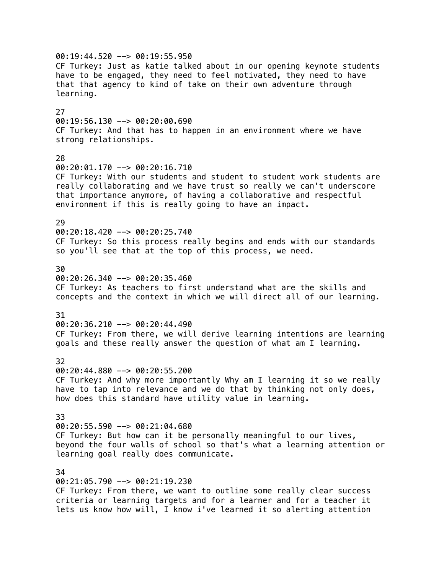00:19:44.520 --> 00:19:55.950 CF Turkey: Just as katie talked about in our opening keynote students have to be engaged, they need to feel motivated, they need to have that that agency to kind of take on their own adventure through learning. 27 00:19:56.130 --> 00:20:00.690 CF Turkey: And that has to happen in an environment where we have strong relationships. 28 00:20:01.170 --> 00:20:16.710 CF Turkey: With our students and student to student work students are really collaborating and we have trust so really we can't underscore that importance anymore, of having a collaborative and respectful environment if this is really going to have an impact. 29 00:20:18.420 --> 00:20:25.740 CF Turkey: So this process really begins and ends with our standards so you'll see that at the top of this process, we need. 30  $00:20:26.340$  -->  $00:20:35.460$ CF Turkey: As teachers to first understand what are the skills and concepts and the context in which we will direct all of our learning. 31 00:20:36.210 --> 00:20:44.490 CF Turkey: From there, we will derive learning intentions are learning goals and these really answer the question of what am I learning. 32 00:20:44.880 --> 00:20:55.200 CF Turkey: And why more importantly Why am I learning it so we really have to tap into relevance and we do that by thinking not only does, how does this standard have utility value in learning. 33 00:20:55.590 --> 00:21:04.680 CF Turkey: But how can it be personally meaningful to our lives, beyond the four walls of school so that's what a learning attention or learning goal really does communicate. 34 00:21:05.790 --> 00:21:19.230 CF Turkey: From there, we want to outline some really clear success

criteria or learning targets and for a learner and for a teacher it lets us know how will, I know i've learned it so alerting attention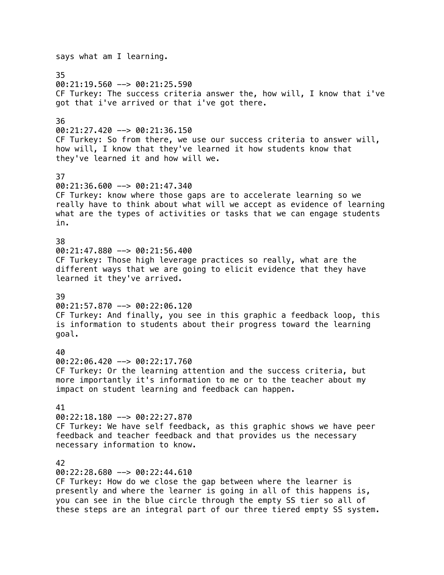says what am I learning. 35 00:21:19.560 --> 00:21:25.590 CF Turkey: The success criteria answer the, how will, I know that i've got that i've arrived or that i've got there. 36  $00:21:27.420$  -->  $00:21:36.150$ CF Turkey: So from there, we use our success criteria to answer will, how will, I know that they've learned it how students know that they've learned it and how will we. 37 00:21:36.600 --> 00:21:47.340 CF Turkey: know where those gaps are to accelerate learning so we really have to think about what will we accept as evidence of learning what are the types of activities or tasks that we can engage students in. 38 00:21:47.880 --> 00:21:56.400 CF Turkey: Those high leverage practices so really, what are the different ways that we are going to elicit evidence that they have learned it they've arrived. 39  $00:21:57.870$  -->  $00:22:06.120$ CF Turkey: And finally, you see in this graphic a feedback loop, this is information to students about their progress toward the learning goal. 40 00:22:06.420 --> 00:22:17.760 CF Turkey: Or the learning attention and the success criteria, but more importantly it's information to me or to the teacher about my impact on student learning and feedback can happen. 41 00:22:18.180 --> 00:22:27.870 CF Turkey: We have self feedback, as this graphic shows we have peer feedback and teacher feedback and that provides us the necessary necessary information to know. 42 00:22:28.680 --> 00:22:44.610 CF Turkey: How do we close the gap between where the learner is presently and where the learner is going in all of this happens is, you can see in the blue circle through the empty SS tier so all of these steps are an integral part of our three tiered empty SS system.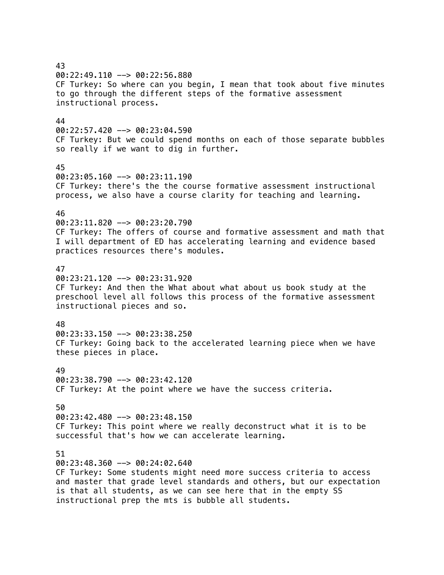43 00:22:49.110 --> 00:22:56.880 CF Turkey: So where can you begin, I mean that took about five minutes to go through the different steps of the formative assessment instructional process. 44  $00:22:57.420$  -->  $00:23:04.590$ CF Turkey: But we could spend months on each of those separate bubbles so really if we want to dig in further. 45 00:23:05.160 --> 00:23:11.190 CF Turkey: there's the the course formative assessment instructional process, we also have a course clarity for teaching and learning. 46 00:23:11.820 --> 00:23:20.790 CF Turkey: The offers of course and formative assessment and math that I will department of ED has accelerating learning and evidence based practices resources there's modules. 47  $00:23:21.120$  -->  $00:23:31.920$ CF Turkey: And then the What about what about us book study at the preschool level all follows this process of the formative assessment instructional pieces and so. 48  $00:23:33.150$  -->  $00:23:38.250$ CF Turkey: Going back to the accelerated learning piece when we have these pieces in place. 49 00:23:38.790 --> 00:23:42.120 CF Turkey: At the point where we have the success criteria. 50 00:23:42.480 --> 00:23:48.150 CF Turkey: This point where we really deconstruct what it is to be successful that's how we can accelerate learning. 51 00:23:48.360 --> 00:24:02.640 CF Turkey: Some students might need more success criteria to access and master that grade level standards and others, but our expectation is that all students, as we can see here that in the empty SS instructional prep the mts is bubble all students.